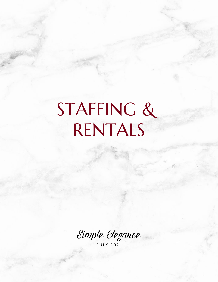# STAFFING & RENTALS

Simple Elegance

J U L Y 2 0 2 1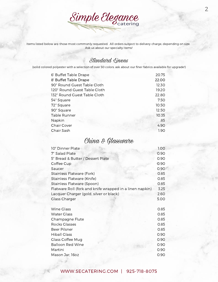

Items listed below are those most commonly requested. All orders subject to delivery charge, depending on size. Ask us about our specialty items!

#### Standard Linens

(solid colored polyester with a selection of over 50 colors. ask about our finer fabrics available for upgrade!)

| 6' Buffet Table Drape        | 20.75 |
|------------------------------|-------|
| 8' Buffet Table Drape        | 22.00 |
| 90" Round Guest Table Cloth  | 12.30 |
| 120" Round Guest Table Cloth | 19.20 |
| 132" Round Guest Table Cloth | 22.80 |
| 54" Square                   | 7.50  |
| 72" Square                   | 10.50 |
| 90" Square                   | 12.50 |
| <b>Table Runner</b>          | 10.35 |
| Napkin                       | .85   |
| <b>Chair Cover</b>           | 4.90  |
| Chair Sash                   | 1.90  |

#### China & Glassware

| 10" Dinner Plate                                         | 1.00 |
|----------------------------------------------------------|------|
| 7" Salad Plate                                           | 0.90 |
| 5" Bread & Butter / Dessert Plate                        | 0.90 |
| Coffee Cup                                               | 0.90 |
| Saucer                                                   | 0.90 |
| Stainless Flatware (Fork)                                | 0.85 |
| Stainless Flatware (Knife)                               | 0.85 |
| Stainless Flatware (Spoon)                               | 0.85 |
| Flatware Roll (fork and knife wrapped in a linen napkin) | 3.25 |
| Lacquer Charger (gold, silver or black)                  | 2.60 |
| <b>Glass Charger</b>                                     | 5.00 |
|                                                          |      |
| <b>Wine Glass</b>                                        | 0.85 |
| <b>Water Glass</b>                                       | 0.85 |
| Champagne Flute                                          | 0.85 |
| <b>Rocks Glasses</b>                                     | 0.85 |
| Beer Pilsner                                             | 0.85 |
| <b>Hiball Glass</b>                                      | 0.90 |
| <b>Glass Coffee Mug</b>                                  | 0.90 |
| <b>Balloon Red Wine</b>                                  | 0.90 |
| Martini                                                  | 0.90 |
| Mason Jar, 16oz                                          | 0.90 |